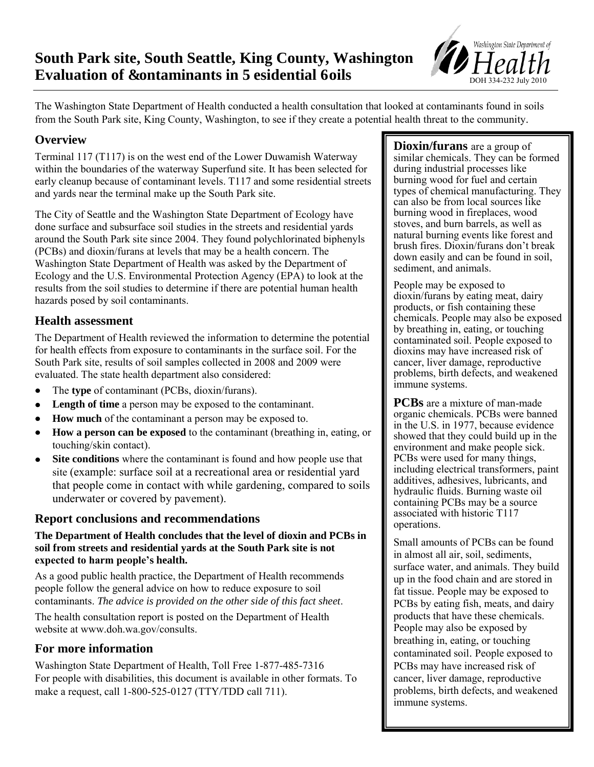# **Evaluation of &ontaminants in 5esidential 6oils South Park site, South Seattle, King County, Washington**



The Washington State Department of Health conducted a health consultation that looked at contaminants found in soils from the South Park site, King County, Washington, to see if they create a potential health threat to the community.

# **Overview**

Terminal 117 (T117) is on the west end of the Lower Duwamish Waterway within the boundaries of the waterway Superfund site. It has been selected for early cleanup because of contaminant levels. T117 and some residential streets and yards near the terminal make up the South Park site.

The City of Seattle and the Washington State Department of Ecology have done surface and subsurface soil studies in the streets and residential yards around the South Park site since 2004. They found polychlorinated biphenyls (PCBs) and dioxin/furans at levels that may be a health concern. The Washington State Department of Health was asked by the Department of Ecology and the U.S. Environmental Protection Agency (EPA) to look at the results from the soil studies to determine if there are potential human health hazards posed by soil contaminants.

# **Health assessment**

The Department of Health reviewed the information to determine the potential for health effects from exposure to contaminants in the surface soil. For the South Park site, results of soil samples collected in 2008 and 2009 were evaluated. The state health department also considered:

- The **type** of contaminant (PCBs, dioxin/furans).  $\bullet$
- **Length of time** a person may be exposed to the contaminant.  $\bullet$
- **How much** of the contaminant a person may be exposed to.
- **How a person can be exposed** to the contaminant (breathing in, eating, or  $\bullet$ touching/skin contact).
- **Site conditions** where the contaminant is found and how people use that site (example: surface soil at a recreational area or residential yard that people come in contact with while gardening, compared to soils underwater or covered by pavement).

#### **Report conclusions and recommendations**

#### **The Department of Health concludes that the level of dioxin and PCBs in soil from streets and residential yards at the South Park site is not expected to harm people's health.**

As a good public health practice, the Department of Health recommends people follow the general advice on how to reduce exposure to soil contaminants. *The advice is provided on the other side of this fact sheet*.

The [health consultation report](http://www.doh.wa.gov/consults) is posted on the Department of Health website at www.doh.wa.gov/consults.

# **For more information**

Washington State Department of Health, Toll Free 1-877-485-7316 For people with disabilities, this document is available in other formats. To make a request, call 1-800-525-0127 (TTY/TDD call 711).

**Dioxin/furans** are a group of similar chemicals. They can be formed during industrial processes like burning wood for fuel and certain types of chemical manufacturing. They can also be from local sources like burning wood in fireplaces, wood stoves, and burn barrels, as well as natural burning events like forest and brush fires. Dioxin/furans don't break down easily and can be found in soil, sediment, and animals.

People may be exposed to dioxin/furans by eating meat, dairy products, or fish containing these chemicals. People may also be exposed by breathing in, eating, or touching contaminated soil. People exposed to dioxins may have increased risk of cancer, liver damage, reproductive problems, birth defects, and weakened immune systems.

**PCBs** are a mixture of man-made organic chemicals. PCBs were banned in the U.S. in 1977, because evidence showed that they could build up in the environment and make people sick. PCBs were used for many things, including electrical transformers, paint additives, adhesives, lubricants, and hydraulic fluids. Burning waste oil containing PCBs may be a source associated with historic T117 operations.

Small amounts of PCBs can be found in almost all air, soil, sediments, surface water, and animals. They build up in the food chain and are stored in fat tissue. People may be exposed to PCBs by eating fish, meats, and dairy products that have these chemicals. People may also be exposed by breathing in, eating, or touching contaminated soil. People exposed to PCBs may have increased risk of cancer, liver damage, reproductive problems, birth defects, and weakened immune systems.